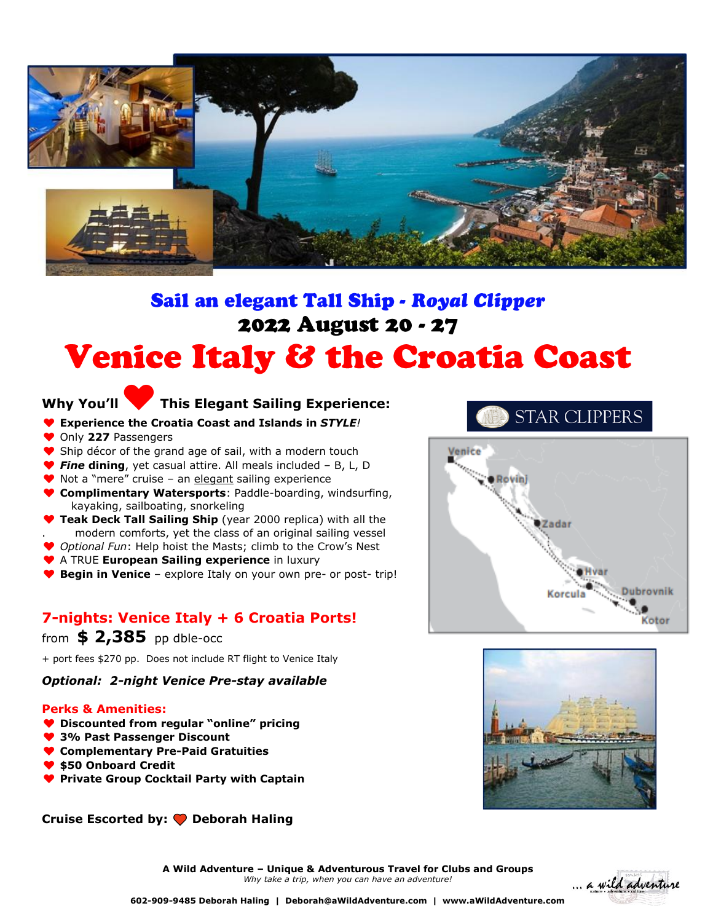

# Sail an elegant Tall Ship - Royal Clipper 2022 August 20 - 27 **Venice Italy & the Croatia Coast**

### **Why You'll**♥**This Elegant Sailing Experience:**

- ♥ **Experience the Croatia Coast and Islands in** *STYLE!*
- ♥ Only **227** Passengers
- ◆ Ship décor of the grand age of sail, with a modern touch
- ♥ *Fine* **dining**, yet casual attire. All meals included B, L, D
- ♥ Not a "mere" cruise an elegant sailing experience
- ♥ **Complimentary Watersports**: Paddle-boarding, windsurfing, kayaking, sailboating, snorkeling
- **Teak Deck Tall Sailing Ship** (year 2000 replica) with all the . modern comforts, yet the class of an original sailing vessel
- ♥ *Optional Fun*: Help hoist the Masts; climb to the Crow's Nest
- ♥ A TRUE **European Sailing experience** in luxury
- ♥ **Begin in Venice** explore Italy on your own pre- or post- trip!

### **7-nights: Venice Italy + 6 Croatia Ports!**

### from **\$ 2,385** pp dble-occ

+ port fees \$270 pp. Does not include RT flight to Venice Italy

### *Optional: 2-night Venice Pre-stay available*

### **Perks & Amenities:**

- ♥ **Discounted from regular "online" pricing**
- ♥ **3% Past Passenger Discount**
- ♥ **Complementary Pre-Paid Gratuities**
- ♥ **\$50 Onboard Credit**
- ♥ **Private Group Cocktail Party with Captain**

**Cruise Escorted by: Deborah Haling**

### **STAR CLIPPERS**





**A Wild Adventure – Unique & Adventurous Travel for Clubs and Groups** *Why take a trip, when you can have an adventure!*



**602-909-9485 Deborah Haling | Deborah@aWildAdventure.com | www.aWildAdventure.com**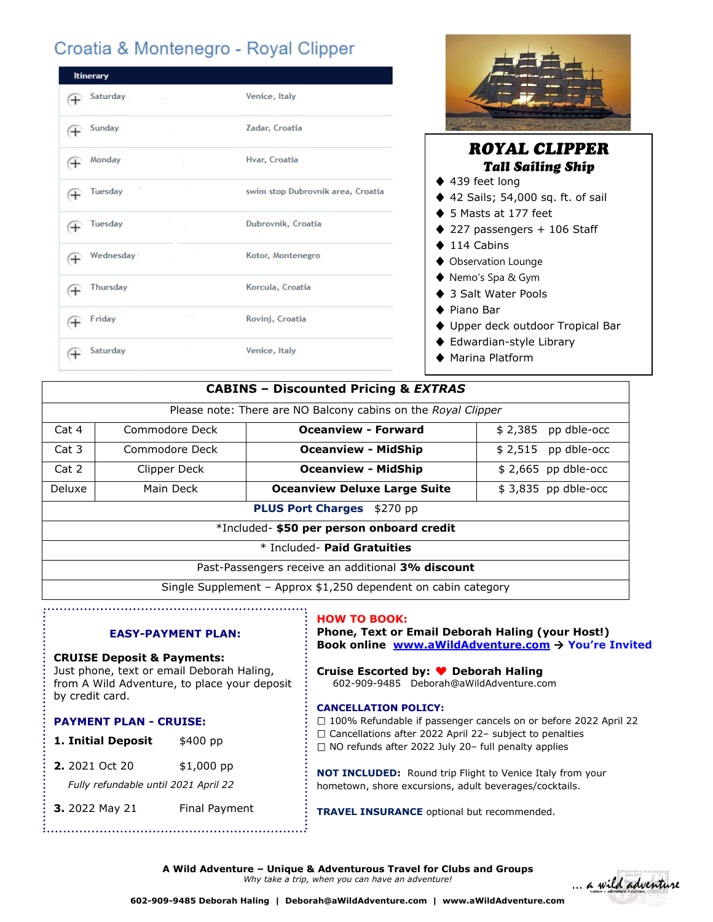## Croatia & Montenegro - Royal Clipper

| <b>Itinerary</b>                  |                                   |  |  |
|-----------------------------------|-----------------------------------|--|--|
| Saturday .<br>4                   | Venice, Italy                     |  |  |
| Sunday<br>$^{+}$                  | Zadar, Croatia                    |  |  |
| Monday<br>(†                      | Hvar, Croatia                     |  |  |
| <b>Tuesday</b><br>⊕               | swim stop Dubrovnik area, Croatia |  |  |
| <b>Tuesday</b><br>⊕               | Dubrovnik, Croatia                |  |  |
| Wednesday (<br>⊕                  | Kotor, Montenegro                 |  |  |
| <b>Thursday</b><br>$^{+}$         | Korcula, Croatia                  |  |  |
| <b>Contractor</b><br>Friday<br>(十 | Rovinj, Croatia                   |  |  |
| Saturdav<br>$^+$                  | Venice, Italy                     |  |  |



- ♦ 3 Salt Water Pools
- ◆ Piano Bar
- ♦ Upper deck outdoor Tropical Bar
- ♦ Edwardian-style Library
- ♦ Marina Platform

| <b>CABINS - Discounted Pricing &amp; EXTRAS</b>                 |                |                                     |                      |  |
|-----------------------------------------------------------------|----------------|-------------------------------------|----------------------|--|
| Please note: There are NO Balcony cabins on the Royal Clipper   |                |                                     |                      |  |
| Cat 4                                                           | Commodore Deck | <b>Oceanview - Forward</b>          | $$2,385$ pp dble-occ |  |
| Cat 3                                                           | Commodore Deck | <b>Oceanview - MidShip</b>          | $$2,515$ pp dble-occ |  |
| Cat 2                                                           | Clipper Deck   | <b>Oceanview - MidShip</b>          | $$2,665$ pp dble-occ |  |
| Deluxe                                                          | Main Deck      | <b>Oceanview Deluxe Large Suite</b> | $$3,835$ pp dble-occ |  |
| <b>PLUS Port Charges</b> \$270 pp                               |                |                                     |                      |  |
| *Included- \$50 per person onboard credit                       |                |                                     |                      |  |
| * Included- Paid Gratuities                                     |                |                                     |                      |  |
| Past-Passengers receive an additional 3% discount               |                |                                     |                      |  |
| Single Supplement – Approx $$1,250$ dependent on cabin category |                |                                     |                      |  |

### **EASY-PAYMENT PLAN:**

#### **CRUISE Deposit & Payments:**

Just phone, text or email Deborah Haling, from A Wild Adventure, to place your deposit by credit card.

#### **PAYMENT PLAN - CRUISE:**

- **1. Initial Deposit** \$400 pp
- **2.** 2021 Oct 20 \$1,000 pp
- *Fully refundable until 2021 April 22*
- **3.** 2022 May 21 Final Payment

### **HOW TO BOOK:**

**Phone, Text or Email Deborah Haling (your Host!) Book online [www.aWildAdventure.com](http://www.awildadventure.com/)** → **You're Invited**

**Cruise Escorted by:** ♥ **Deborah Haling** 602-909-9485 Deborah@aWildAdventure.com

### **CANCELLATION POLICY:**

□ 100% Refundable if passenger cancels on or before 2022 April 22

 $\Box$  Cancellations after 2022 April 22- subject to penalties

 $\Box$  NO refunds after 2022 July 20- full penalty applies

**NOT INCLUDED:** Round trip Flight to Venice Italy from your hometown, shore excursions, adult beverages/cocktails.

**TRAVEL INSURANCE** optional but recommended.

**A Wild Adventure – Unique & Adventurous Travel for Clubs and Groups** *Why take a trip, when you can have an adventure!*